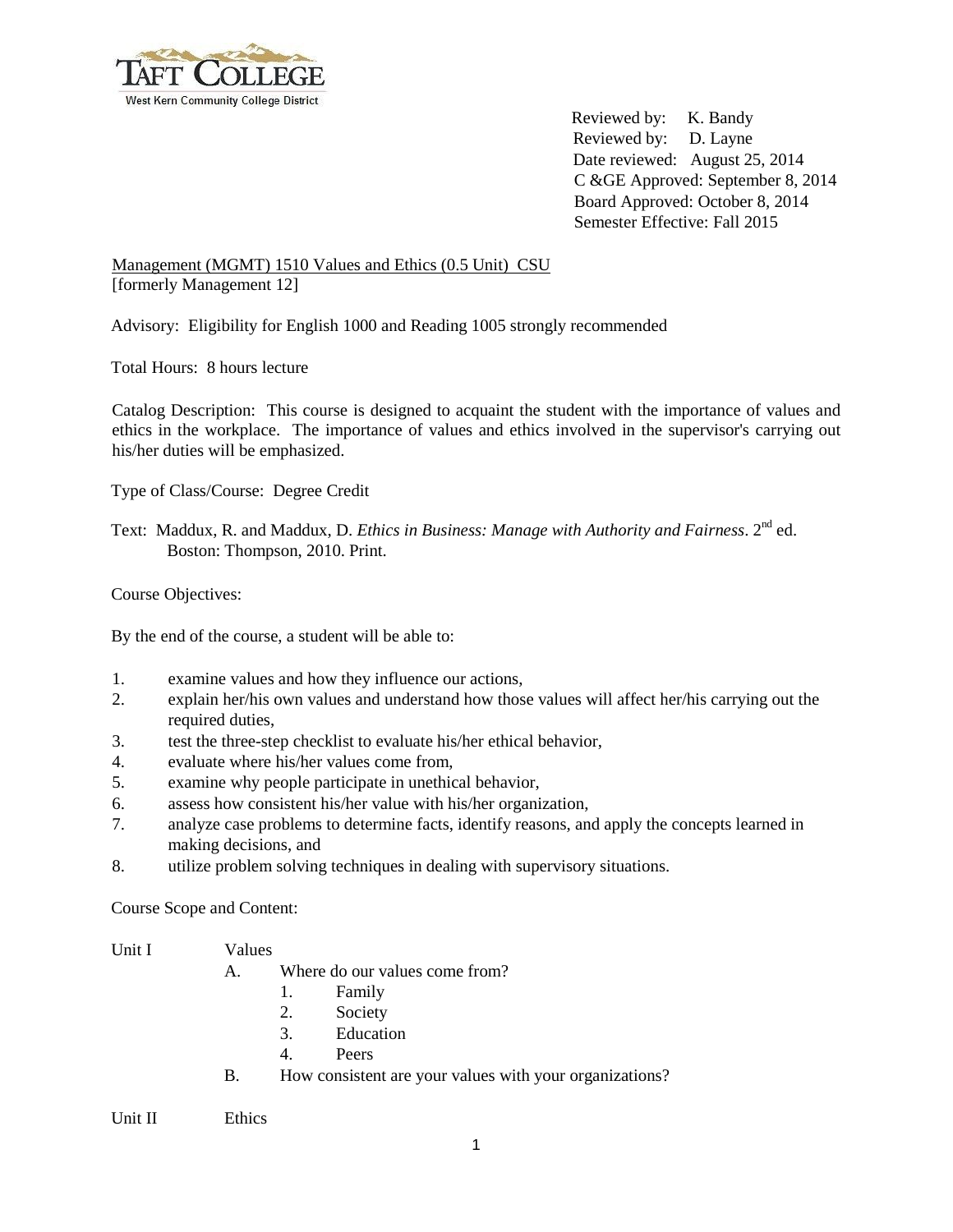

Reviewed by: K. Bandy Reviewed by: D. Layne Date reviewed: August 25, 2014 C &GE Approved: September 8, 2014 Board Approved: October 8, 2014 Semester Effective: Fall 2015

Management (MGMT) 1510 Values and Ethics (0.5 Unit) CSU [formerly Management 12]

Advisory: Eligibility for English 1000 and Reading 1005 strongly recommended

Total Hours: 8 hours lecture

Catalog Description: This course is designed to acquaint the student with the importance of values and ethics in the workplace. The importance of values and ethics involved in the supervisor's carrying out his/her duties will be emphasized.

Type of Class/Course: Degree Credit

Text: Maddux, R. and Maddux, D. *Ethics in Business: Manage with Authority and Fairness*. 2<sup>nd</sup> ed. Boston: Thompson, 2010. Print.

Course Objectives:

By the end of the course, a student will be able to:

- 1. examine values and how they influence our actions,
- 2. explain her/his own values and understand how those values will affect her/his carrying out the required duties,
- 3. test the three-step checklist to evaluate his/her ethical behavior,
- 4. evaluate where his/her values come from,
- 5. examine why people participate in unethical behavior,
- 6. assess how consistent his/her value with his/her organization,
- 7. analyze case problems to determine facts, identify reasons, and apply the concepts learned in making decisions, and
- 8. utilize problem solving techniques in dealing with supervisory situations.

Course Scope and Content:

Unit I Values

- 
- A. Where do our values come from?
	- 1. Family
	- 2. Society
	- 3. Education
	- 4. Peers
- B. How consistent are your values with your organizations?

Unit II Ethics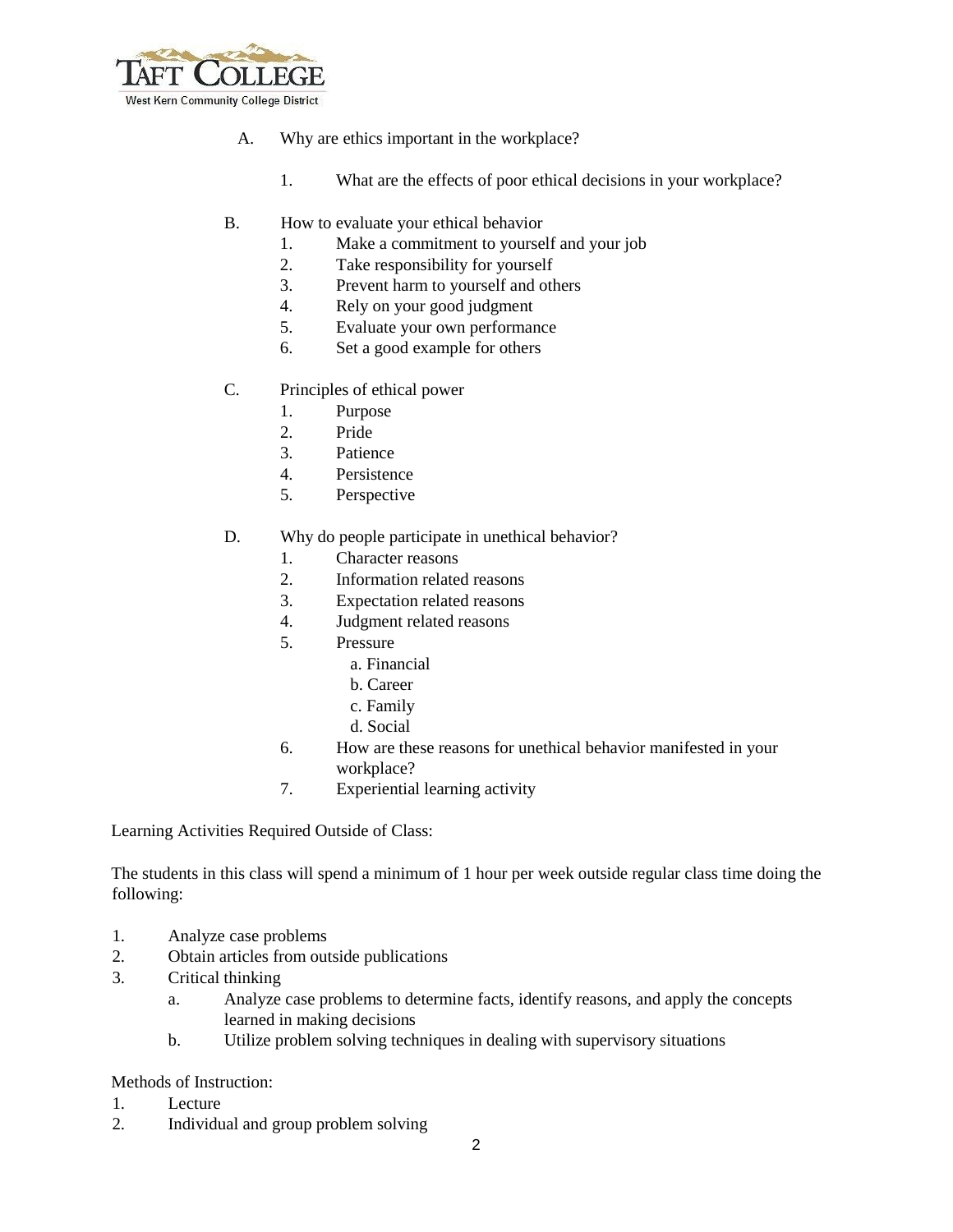

- A. Why are ethics important in the workplace?
	- 1. What are the effects of poor ethical decisions in your workplace?
- B. How to evaluate your ethical behavior
	- 1. Make a commitment to yourself and your job
	- 2. Take responsibility for yourself
	- 3. Prevent harm to yourself and others
	- 4. Rely on your good judgment
	- 5. Evaluate your own performance
	- 6. Set a good example for others
- C. Principles of ethical power
	- 1. Purpose
	- 2. Pride
	- 3. Patience
	- 4. Persistence
	- 5. Perspective
- D. Why do people participate in unethical behavior?
	- 1. Character reasons
	- 2. Information related reasons
	- 3. Expectation related reasons
	- 4. Judgment related reasons
	- 5. Pressure
		- a. Financial
		- b. Career
		- c. Family
		- d. Social
	- 6. How are these reasons for unethical behavior manifested in your workplace?
	- 7. Experiential learning activity

Learning Activities Required Outside of Class:

The students in this class will spend a minimum of 1 hour per week outside regular class time doing the following:

- 1. Analyze case problems
- 2. Obtain articles from outside publications
- 3. Critical thinking
	- a. Analyze case problems to determine facts, identify reasons, and apply the concepts learned in making decisions
	- b. Utilize problem solving techniques in dealing with supervisory situations

Methods of Instruction:

- 1. Lecture
- 2. Individual and group problem solving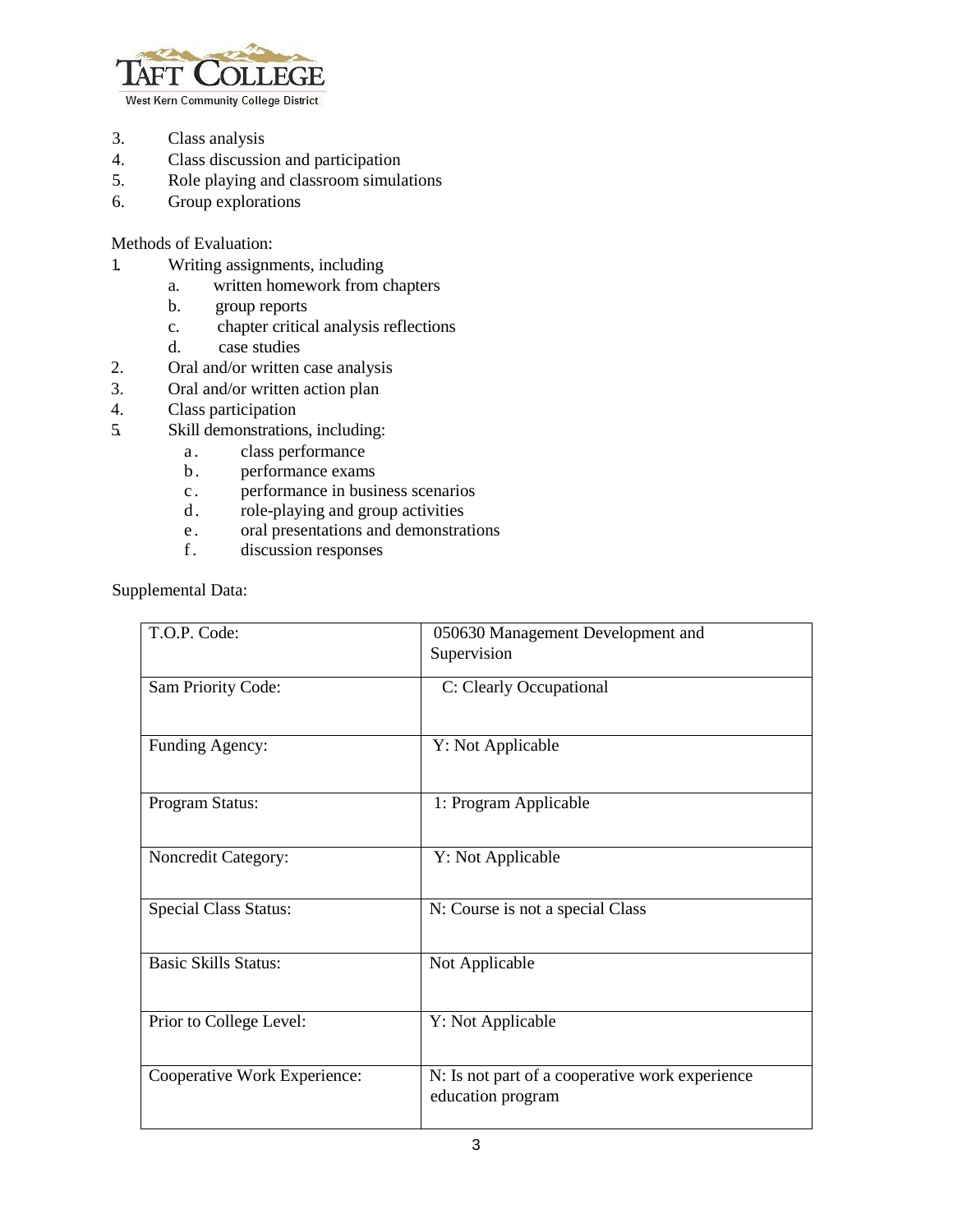

3. Class analysis

- 4. Class discussion and participation
- 5. Role playing and classroom simulations
- 6. Group explorations

Methods of Evaluation:

- 1. Writing assignments, including
	- a. written homework from chapters
	- b. group reports
	- c. chapter critical analysis reflections
	- d. case studies
- 2. Oral and/or written case analysis
- 3. Oral and/or written action plan
- 4. Class participation
- 5. Skill demonstrations, including:
	- a. class performance
	- b. performance exams
	- c . performance in business scenarios
	- d. role-playing and group activities
	- e . oral presentations and demonstrations f. discussion responses
	- discussion responses

Supplemental Data:

| T.O.P. Code:                 | 050630 Management Development and                                    |
|------------------------------|----------------------------------------------------------------------|
|                              | Supervision                                                          |
| Sam Priority Code:           | C: Clearly Occupational                                              |
| Funding Agency:              | Y: Not Applicable                                                    |
| Program Status:              | 1: Program Applicable                                                |
| Noncredit Category:          | Y: Not Applicable                                                    |
| <b>Special Class Status:</b> | N: Course is not a special Class                                     |
| <b>Basic Skills Status:</b>  | Not Applicable                                                       |
| Prior to College Level:      | Y: Not Applicable                                                    |
| Cooperative Work Experience: | N: Is not part of a cooperative work experience<br>education program |